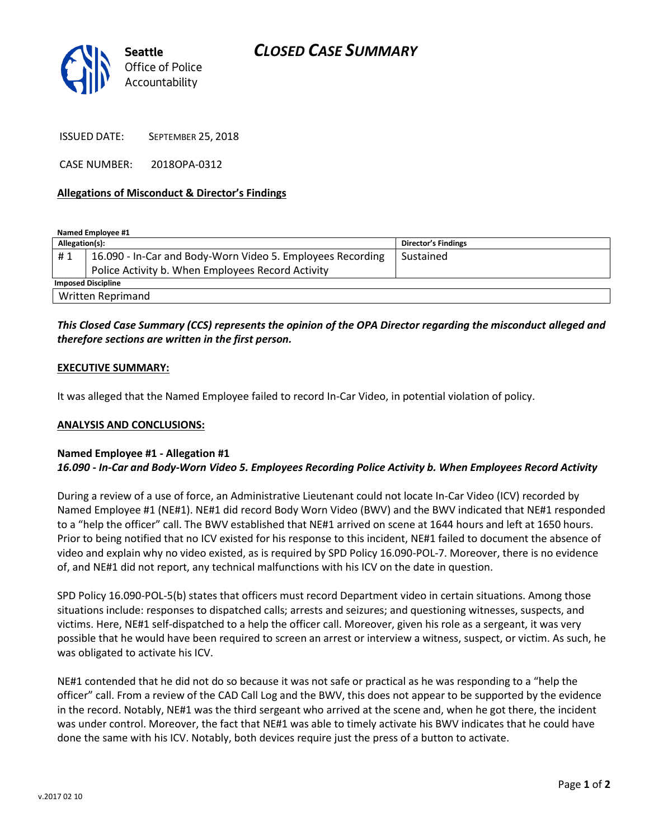

ISSUED DATE: SEPTEMBER 25, 2018

CASE NUMBER: 2018OPA-0312

# **Allegations of Misconduct & Director's Findings**

**Named Employee #1**

| Allegation(s):            |                                                            | Director's Findings |
|---------------------------|------------------------------------------------------------|---------------------|
| #1                        | 16.090 - In-Car and Body-Worn Video 5. Employees Recording | Sustained           |
|                           | Police Activity b. When Employees Record Activity          |                     |
| <b>Imposed Discipline</b> |                                                            |                     |
| Written Reprimand         |                                                            |                     |

# *This Closed Case Summary (CCS) represents the opinion of the OPA Director regarding the misconduct alleged and therefore sections are written in the first person.*

### **EXECUTIVE SUMMARY:**

It was alleged that the Named Employee failed to record In-Car Video, in potential violation of policy.

#### **ANALYSIS AND CONCLUSIONS:**

# **Named Employee #1 - Allegation #1** *16.090 - In-Car and Body-Worn Video 5. Employees Recording Police Activity b. When Employees Record Activity*

During a review of a use of force, an Administrative Lieutenant could not locate In-Car Video (ICV) recorded by Named Employee #1 (NE#1). NE#1 did record Body Worn Video (BWV) and the BWV indicated that NE#1 responded to a "help the officer" call. The BWV established that NE#1 arrived on scene at 1644 hours and left at 1650 hours. Prior to being notified that no ICV existed for his response to this incident, NE#1 failed to document the absence of video and explain why no video existed, as is required by SPD Policy 16.090-POL-7. Moreover, there is no evidence of, and NE#1 did not report, any technical malfunctions with his ICV on the date in question.

SPD Policy 16.090-POL-5(b) states that officers must record Department video in certain situations. Among those situations include: responses to dispatched calls; arrests and seizures; and questioning witnesses, suspects, and victims. Here, NE#1 self-dispatched to a help the officer call. Moreover, given his role as a sergeant, it was very possible that he would have been required to screen an arrest or interview a witness, suspect, or victim. As such, he was obligated to activate his ICV.

NE#1 contended that he did not do so because it was not safe or practical as he was responding to a "help the officer" call. From a review of the CAD Call Log and the BWV, this does not appear to be supported by the evidence in the record. Notably, NE#1 was the third sergeant who arrived at the scene and, when he got there, the incident was under control. Moreover, the fact that NE#1 was able to timely activate his BWV indicates that he could have done the same with his ICV. Notably, both devices require just the press of a button to activate.